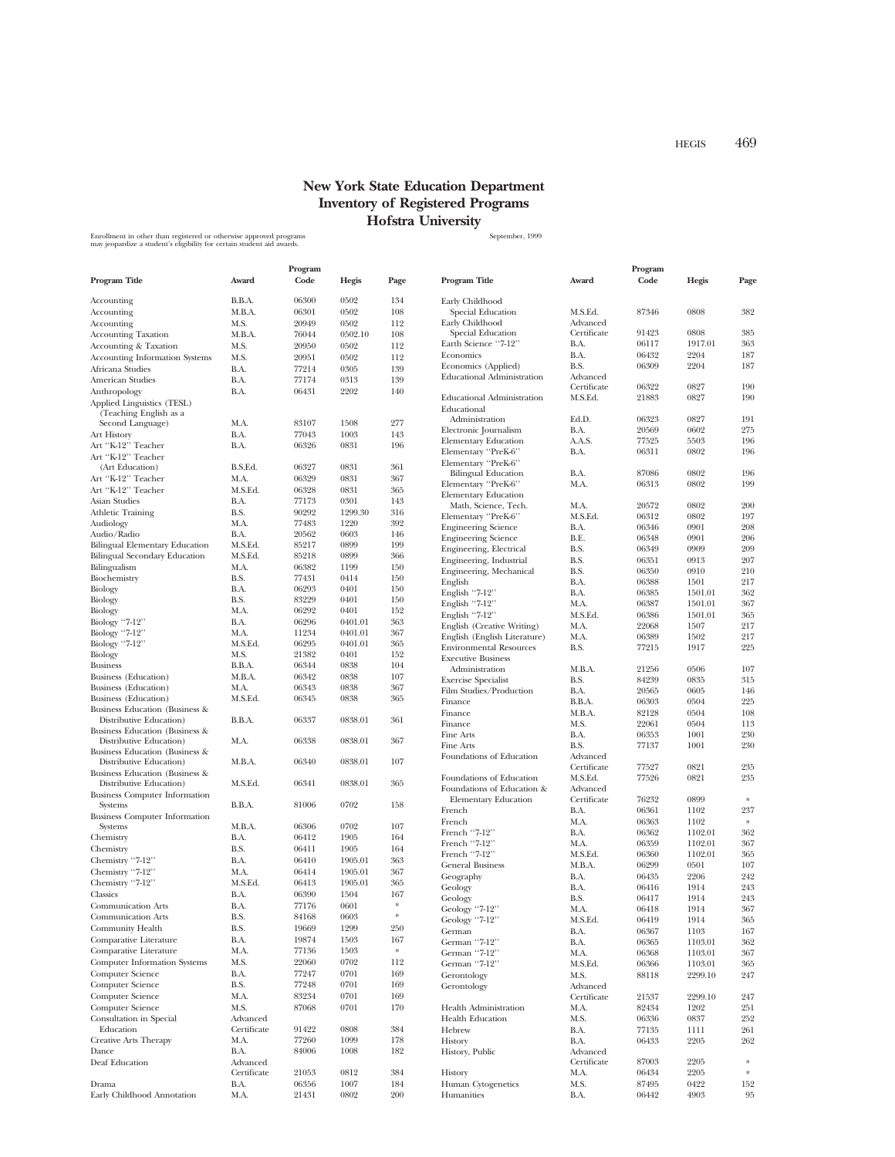## **New York State Education Department Inventory of Registered Programs Hofstra University**

Enrollment in other than registered or otherwise approved programs states and the state of the September, 1999<br>may jeopardize a student's eligibility for certain student aid awards.

|                                                           |                         | Program        |              |                  |                                                  |                         | Program        |              |           |
|-----------------------------------------------------------|-------------------------|----------------|--------------|------------------|--------------------------------------------------|-------------------------|----------------|--------------|-----------|
| Program Title                                             | Award                   | Code           | Hegis        | Page             | Program Title                                    | Award                   | Code           | Hegis        | Page      |
| Accounting                                                | B.B.A.                  | 06300          | 0502         | 134              | Early Childhood                                  |                         |                |              |           |
| Accounting                                                | M.B.A.                  | 06301          | 0502         | 108              | Special Education                                | M.S.Ed.                 | 87346          | 0808         | 382       |
| Accounting                                                | M.S.                    | 20949          | 0502         | 112              | Early Childhood                                  | Advanced                |                |              |           |
| <b>Accounting Taxation</b>                                | M.B.A.                  | 76044          | 0502.10      | 108              | Special Education                                | Certificate             | 91423          | 0808         | 385       |
| Accounting & Taxation                                     | M.S.                    | 20950          | 0502         | 112              | Earth Science "7-12"                             | B.A.                    | 06117          | 1917.01      | 363       |
| <b>Accounting Information Systems</b>                     | M.S.                    | 20951          | 0502         | 112              | Economics                                        | B.A.                    | 06432          | 2204         | 187       |
| Africana Studies                                          | B.A.                    | 77214          | 0305         | 139              | Economics (Applied)                              | B.S.                    | 06309          | 2204         | 187       |
| American Studies                                          | B.A.                    | 77174          | 0313         | 139              | <b>Educational Administration</b>                | Advanced                |                |              |           |
| Anthropology                                              | B.A.                    | 06431          | 2202         | 140              |                                                  | Certificate             | 06322          | 0827         | 190       |
| Applied Linguistics (TESL)<br>(Teaching English as a      |                         |                |              |                  | <b>Educational Administration</b><br>Educational | M.S.Ed.                 | 21883          | 0827         | 190       |
| Second Language)                                          | M.A.                    | 83107          | 1508         | 277              | Administration                                   | Ed.D.                   | 06323          | 0827         | 191       |
| Art History                                               | B.A.                    | 77043          | 1003         | 143              | Electronic Journalism                            | B.A.                    | 20569          | 0602         | 275       |
| Art "K-12" Teacher                                        | B.A.                    | 06326          | 0831         | 196              | <b>Elementary Education</b>                      | A.A.S.                  | 77525          | 5503         | 196       |
| Art "K-12" Teacher                                        |                         |                |              |                  | Elementary "PreK-6"<br>Elementary "PreK-6"       | B.A.                    | 06311          | 0802         | 196       |
| (Art Education)                                           | B.S.Ed.                 | 06327          | 0831         | 361              | <b>Bilingual Education</b>                       | B.A.                    | 87086          | 0802         | 196       |
| Art "K-12" Teacher                                        | M.A.                    | 06329          | 0831         | 367              | Elementary "PreK-6"                              | M.A.                    | 06313          | 0802         | 199       |
| Art "K-12" Teacher                                        | M.S.Ed.                 | 06328          | 0831         | 365              | <b>Elementary Education</b>                      |                         |                |              |           |
| Asian Studies                                             | B.A.                    | 77173          | 0301         | 143              | Math, Science, Tech.                             | M.A.                    | 20572          | 0802         | 200       |
| Athletic Training                                         | B.S.                    | 90292          | 1299.30      | 316              | Elementary "PreK-6"                              | M.S.Ed.                 | 06312          | 0802         | 197       |
| Audiology                                                 | M.A.                    | 77483          | 1220         | 392              | <b>Engineering Science</b>                       | B.A.                    | 06346          | 0901         | 208       |
| Audio/Radio                                               | B.A.                    | 20562          | 0603         | 146              | <b>Engineering Science</b>                       | B.E.                    | 06348          | 0901         | 206       |
| <b>Bilingual Elementary Education</b>                     | M.S.Ed.                 | 85217          | 0899         | 199              | Engineering, Electrical                          | B.S.                    | 06349          | 0909         | 209       |
| <b>Bilingual Secondary Education</b>                      | M.S.Ed.                 | 85218          | 0899         | 366              | Engineering, Industrial                          | B.S.                    | 06351          | 0913         | 207       |
| Bilingualism                                              | M.A.                    | 06382          | 1199         | 150              | Engineering, Mechanical                          | B.S.                    | 06350          | 0910         | 210       |
| Biochemistry                                              | B.S.                    | 77431          | 0414         | 150              | English                                          | B.A.                    | 06388          | 1501         | 217       |
| Biology                                                   | B.A.                    | 06293          | 0401         | 150              | English "7-12"                                   | B.A.                    | 06385          | 1501.01      | 362       |
| Biology                                                   | B.S.                    | 83229          | 0401         | 150              | English "7-12"                                   | M.A.                    | 06387          | 1501.01      | 367       |
| Biology                                                   | M.A.                    | 06292          | 0401         | 152              | English "7-12"                                   | M.S.Ed.                 | 06386          | 1501.01      | 365       |
| Biology "7-12"                                            | B.A.                    | 06296          | 0401.01      | 363              | English (Creative Writing)                       | M.A.                    | 22068          | 1507         | 217       |
| Biology "7-12"                                            | M.A.                    | 11234          | 0401.01      | 367              | English (English Literature)                     | M.A.                    | 06389          | 1502         | 217       |
| Biology "7-12"                                            | M.S.Ed.                 | 06295          | 0401.01      | 365              | <b>Environmental Resources</b>                   | B.S.                    | 77215          | 1917         | 225       |
| Biology                                                   | M.S.                    | 21382          | 0401         | 152              | <b>Executive Business</b>                        |                         |                |              |           |
| <b>Business</b>                                           | B.B.A.                  | 06344          | 0838         | 104              | Administration                                   | M.B.A.                  | 21256          | 0506         | 107       |
| <b>Business</b> (Education)                               | M.B.A.                  | 06342          | 0838         | 107              | <b>Exercise Specialist</b>                       | B.S.                    | 84239          | 0835         | 315       |
| <b>Business</b> (Education)                               | M.A.                    | 06343          | 0838         | 367              | Film Studies/Production                          | B.A.                    | 20565          | 0605         | 146       |
| <b>Business</b> (Education)                               | M.S.Ed.                 | 06345          | 0838         | 365              | Finance                                          | B.B.A.                  | 06303          | 0504         | 225       |
| Business Education (Business &                            |                         |                |              |                  | Finance                                          | M.B.A.                  | 82128          | 0504         | 108       |
| Distributive Education)                                   | B.B.A.                  | 06337          | 0838.01      | 361              | Finance                                          | M.S.                    | 22061          | 0504         | 113       |
| Business Education (Business &                            |                         |                |              |                  | Fine Arts                                        | B.A.                    | 06353          | 1001         | 230       |
| Distributive Education)                                   | M.A.                    | 06338          | 0838.01      | 367              | Fine Arts                                        | B.S.                    | 77137          | 1001         | 230       |
| Business Education (Business &<br>Distributive Education) | M.B.A.                  | 06340          | 0838.01      | 107              | Foundations of Education                         | Advanced                |                |              |           |
| Business Education (Business &                            |                         |                |              |                  |                                                  | Certificate             | 77527          | 0821         | 235       |
| Distributive Education)                                   | M.S.Ed.                 | 06341          | 0838.01      | 365              | Foundations of Education                         | M.S.Ed.                 | 77526          | 0821         | 235       |
| <b>Business Computer Information</b>                      |                         |                |              |                  | Foundations of Education &                       | Advanced                |                |              |           |
| Systems                                                   | B.B.A.                  | 81006          | 0702         | 158              | <b>Elementary Education</b>                      | Certificate             | 76232          | 0899         |           |
| <b>Business Computer Information</b>                      |                         |                |              |                  | French                                           | B.A.                    | 06361          | 1102         | 237       |
| Systems                                                   | M.B.A.                  | 06306          | 0702         | 107              | French                                           | M.A.                    | 06363          | 1102         | $\ast$    |
| Chemistry                                                 | B.A.                    | 06412          | 1905         | 164              | French "7-12"                                    | B.A.                    | 06362          | 1102.01      | 362       |
| Chemistry                                                 | B.S.                    | 06411          | 1905         | 164              | French "7-12"                                    | M.A.                    | 06359          | 1102.01      | 367       |
| Chemistry "7-12"                                          | B.A.                    | 06410          | 1905.01      | 363              | French "7-12"                                    | M.S.Ed.                 | 06360          | 1102.01      | 365       |
| Chemistry "7-12"                                          | M.A.                    | 06414          | 1905.01      | 367              | <b>General Business</b>                          | M.B.A.                  | 06299          | 0501         | 107       |
| Chemistry "7-12"                                          | M.S.Ed.                 | 06413          | 1905.01      | 365              | Geography                                        | B.A.                    | 06435          | 2206         | 242       |
| Classics                                                  | B.A.                    | 06390          | 1504         | 167              | Geology                                          | B.A.                    | 06416          | 1914         | 243       |
| <b>Communication Arts</b>                                 | B.A.                    | 77176          | 0601         | $\gg$            | Geology                                          | B.S.                    | 06417          | 1914         | 243       |
| <b>Communication Arts</b>                                 | B.S.                    | 84168          | 0603         |                  | Geology "7-12"                                   | M.A.                    | 06418          | 1914         | 367       |
| Community Health                                          | B.S.                    | 19669          | 1299         | 250              | Geology ''7-12'                                  | M.S.Ed.                 | 06419          | 1914         | 365       |
|                                                           |                         |                |              |                  | German                                           | B.A.                    | 06367          | 1103         | 167       |
| Comparative Literature                                    | B.A.                    | 19874          | 1503         | 167<br>$\approx$ | German "7-12"                                    | B.A.                    | 06365          | 1103.01      | 362       |
| Comparative Literature                                    | M.A.                    | 77136<br>22060 | 1503<br>0702 |                  | German "7-12"                                    | M.A.                    | 06368          | 1103.01      | 367       |
| <b>Computer Information Systems</b>                       | M.S.                    |                |              | 112              | German "7-12"                                    | M.S.Ed.                 | 06366          | 1103.01      | 365       |
| Computer Science                                          | B.A.                    | 77247          | 0701         | 169              | Gerontology                                      | M.S.                    | 88118          | 2299.10      | 247       |
| Computer Science                                          | B.S.                    | 77248          | 0701         | 169              | Gerontology                                      | Advanced                |                |              |           |
| Computer Science                                          | M.A.                    | 83234          | 0701         | 169              |                                                  | Certificate             | 21537          | 2299.10      | 247       |
| Computer Science                                          | M.S.                    | 87068          | 0701         | 170              | Health Administration                            | M.A.                    | 82434          | 1202         | 251       |
| Consultation in Special                                   | Advanced                |                |              |                  | <b>Health Education</b>                          | M.S.                    | 06336          | 0837         | 252       |
| Education                                                 | Certificate             | 91422          | 0808         | 384              | Hebrew                                           | B.A.                    | 77135          | 1111         | 261       |
| Creative Arts Therapy                                     | M.A.                    | 77260          | 1099         | 178              | History                                          | B.A.                    | 06433          | 2205         | 262       |
| Dance                                                     | B.A.                    | 84006          | 1008         | 182              | History, Public                                  | Advanced<br>Certificate |                |              | $\ast$    |
| Deaf Education                                            | Advanced<br>Certificate | 21053          | 0812         | 384              |                                                  | M.A.                    | 87003<br>06434 | 2205<br>2205 | $\ast$    |
|                                                           | B.A.                    |                | 1007         | 184              | History                                          |                         | 87495          | 0422         |           |
| Drama<br>Early Childhood Annotation                       | M.A.                    | 06356<br>21431 | 0802         | 200              | Human Cytogenetics<br>Humanities                 | M.S.<br>B.A.            | 06442          | 4903         | 152<br>95 |
|                                                           |                         |                |              |                  |                                                  |                         |                |              |           |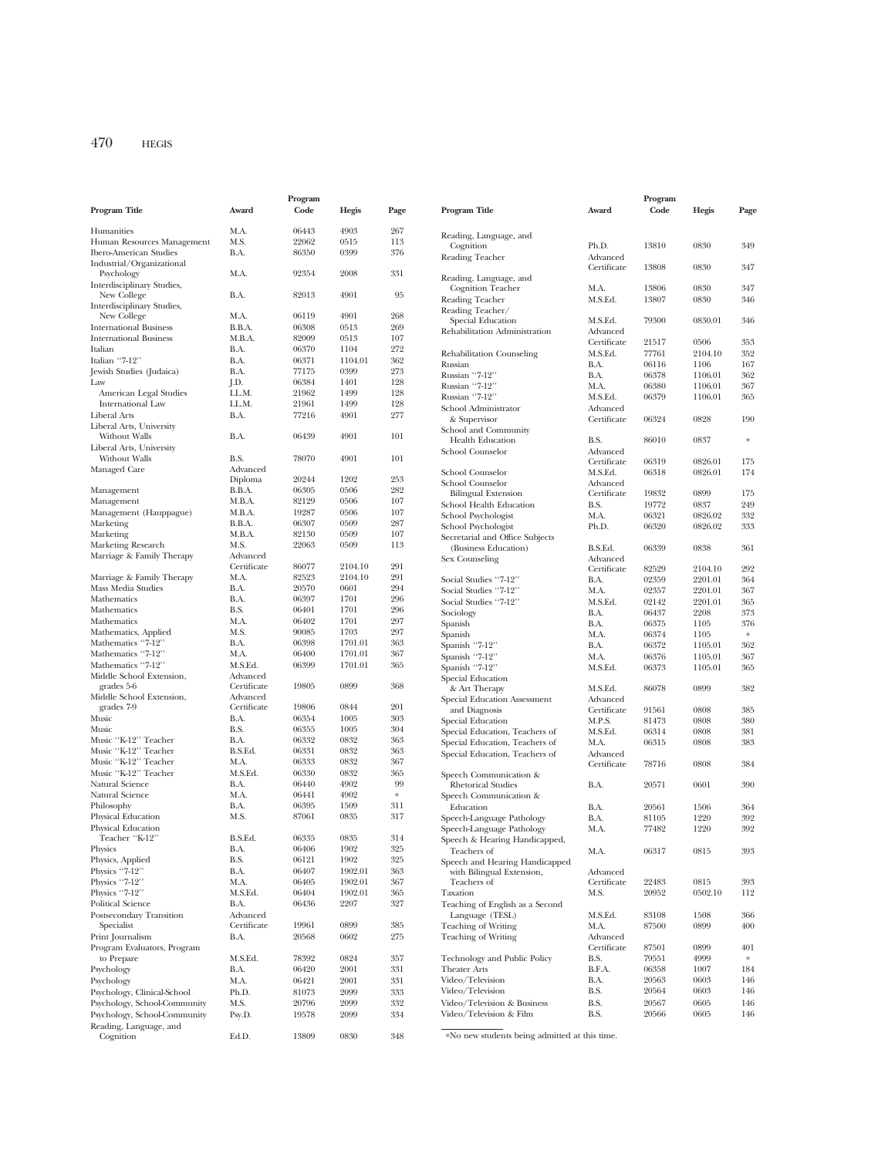|                                           |                         | Program        |              |            |
|-------------------------------------------|-------------------------|----------------|--------------|------------|
| Program Title                             | Award                   | Code           | Hegis        | Page       |
|                                           |                         |                |              |            |
| Humanities                                | M.A.                    | 06443          | 4903         | 267        |
| Human Resources Management                | M.S.                    | 22062          | 0515         | 113        |
| <b>Ibero-American Studies</b>             | B.A.                    | 86350          | 0399         | 376        |
| Industrial/Organizational                 |                         |                |              |            |
| Psychology                                | M.A.                    | 92354          | 2008         | 331        |
| Interdisciplinary Studies,<br>New College | B.A.                    | 82013          | 4901         | 95         |
| Interdisciplinary Studies,                |                         |                |              |            |
| New College                               | M.A.                    | 06119          | 4901         | 268        |
| <b>International Business</b>             | B.B.A.                  | 06308          | 0513         | 269        |
| <b>International Business</b>             | M.B.A.                  | 82009          | 0513         | 107        |
| Italian                                   | B.A.                    | 06370          | 1104         | 272        |
| Italian "7-12"                            | B.A.                    | 06371          | 1104.01      | 362        |
| Jewish Studies (Judaica)                  | B.A.                    | 77175          | 0399         | 273        |
| Law                                       | J.D.                    | 06384          | 1401         | 128        |
| American Legal Studies                    | LL.M.                   | 21962          | 1499         | 128        |
| <b>International Law</b>                  | LL.M.                   | 21961          | 1499         | 128        |
| Liberal Arts                              | B.A.                    | 77216          | 4901         | 277        |
| Liberal Arts, University                  |                         |                |              |            |
| Without Walls                             | B.A.                    | 06439          | 4901         | 101        |
| Liberal Arts, University                  |                         |                |              |            |
| Without Walls                             | B.S.                    | 78070          | 4901         | 101        |
| Managed Care                              | Advanced                |                |              |            |
|                                           | Diploma                 | 20244          | 1202         | 253        |
| Management                                | B.B.A.                  | 06305          | 0506         | 282        |
| Management                                | M.B.A.                  | 82129          | 0506         | 107        |
| Management (Hauppague)                    | M.B.A.                  | 19287          | 0506         | 107        |
| Marketing                                 | B.B.A.                  | 06307          | 0509         | 287        |
| Marketing                                 | M.B.A.                  | 82130          | 0509         | 107        |
| Marketing Research                        | M.S.                    | 22063          | 0509         | 113        |
| Marriage & Family Therapy                 | Advanced<br>Certificate | 86077          | 2104.10      | 291        |
| Marriage & Family Therapy                 | M.A.                    | 82523          | 2104.10      | 291        |
| Mass Media Studies                        | B.A.                    | 20570          | 0601         | 294        |
| Mathematics                               | B.A.                    | 06397          | 1701         | 296        |
| Mathematics                               | B.S.                    | 06401          | 1701         | 296        |
| Mathematics                               | M.A.                    | 06402          | 1701         | 297        |
| Mathematics, Applied                      | M.S.                    | 90085          | 1703         | 297        |
| Mathematics "7-12"                        | B.A.                    | 06398          | 1701.01      | 363        |
| Mathematics "7-12"                        | M.A.                    | 06400          | 1701.01      | 367        |
| Mathematics "7-12"                        | M.S.Ed.                 | 06399          | 1701.01      | 365        |
| Middle School Extension,                  | Advanced                |                |              |            |
| grades 5-6                                | Certificate             | 19805          | 0899         | 368        |
| Middle School Extension,                  | Advanced                |                |              |            |
| grades 7-9                                | Certificate             | 19806          | 0844         | 201        |
| Music                                     | B.A.                    | 06354          | 1005         | 303        |
| Music                                     | B.S.                    | 06355          | 1005         | 304        |
| Music "K-12" Teacher                      | B.A.                    | 06332          | 0832         | 363        |
| Music "K-12" Teacher                      | B.S.Ed.                 | 06331          | 0832         | 363        |
| Music "K-12" Teacher                      | M.A.                    | 06333          | 0832         | 367        |
| Music "K-12" Teacher                      | M.S.Ed.                 | 06330          | 0832         | 365        |
| Natural Science                           | B.A.                    | 06440          | 4902         | 99         |
| Natural Science                           | M.A.                    | 06441          | 4902         | $\ast$     |
| Philosophy                                | B.A.                    | 06395          | 1509         | 311        |
| Physical Education                        | M.S.                    | 87061          | 0835         | 317        |
| Physical Education<br>Teacher "K-12"      | B.S.Ed.                 | 06335          | 0835         | 314        |
|                                           |                         |                |              | 325        |
| Physics                                   | B.A.                    | 06406          | 1902<br>1902 |            |
| Physics, Applied<br>Physics "7-12"        | B.S.<br>B.A.            | 06121<br>06407 | 1902.01      | 325<br>363 |
| Physics "7-12"                            | M.A.                    | 06405          | 1902.01      | 367        |
| Physics "7-12"                            | M.S.Ed.                 | 06404          | 1902.01      | 365        |
| <b>Political Science</b>                  | B.A.                    | 06436          | 2207         | 327        |
| Postsecondary Transition                  | Advanced                |                |              |            |
| Specialist                                | Certificate             | 19961          | 0899         | 385        |
| Print Journalism                          | B.A.                    | 20568          | 0602         | 275        |
| Program Evaluators, Program               |                         |                |              |            |
| to Prepare                                | M.S.Ed.                 | 78392          | 0824         | 357        |
| Psychology                                | B.A.                    | 06420          | 2001         | 331        |
| Psychology                                | M.A.                    | 06421          | 2001         | 331        |
| Psychology, Clinical-School               | Ph.D.                   | 81073          | 2099         | 333        |
| Psychology, School-Community              | M.S.                    | 20796          | 2099         | 332        |
| Psychology, School-Community              | Psy.D.                  | 19578          | 2099         | 334        |
| Reading, Language, and                    |                         |                |              |            |
| Cognition                                 | Ed.D.                   | 13809          | 0830         | 348        |
|                                           |                         |                |              |            |

|                                 |                         | Program |              |          |
|---------------------------------|-------------------------|---------|--------------|----------|
| Program Title                   | Award                   | Code    | Hegis        | Page     |
|                                 |                         |         |              |          |
| Reading, Language, and          |                         |         |              |          |
| Cognition                       | Ph.D.                   | 13810   | 0830         | 349      |
| Reading Teacher                 | Advanced                |         |              |          |
|                                 | Certificate             | 13808   | 0830         | 347      |
| Reading, Language, and          |                         |         |              |          |
| <b>Cognition Teacher</b>        | M.A.                    | 13806   | 0830         | 347      |
| Reading Teacher                 | M.S.Ed.                 | 13807   | 0830         | 346      |
| Reading Teacher/                |                         |         |              |          |
| Special Education               | M.S.Ed.                 | 79300   | 0830.01      | 346      |
| Rehabilitation Administration   | Advanced                |         |              |          |
|                                 | Certificate             | 21517   | 0506         | 353      |
| Rehabilitation Counseling       | M.S.Ed.                 | 77761   | 2104.10      | 352      |
| Russian                         | B.A.                    | 06116   | 1106         | 167      |
| Russian "7-12"                  | B.A.                    | 06378   | 1106.01      | 362      |
| Russian "7-12"                  | M.A.                    | 06380   | 1106.01      | 367      |
| Russian ''7-12''                | M.S.Ed.                 | 06379   | 1106.01      | 365      |
| School Administrator            | Advanced                |         |              |          |
| & Supervisor                    | Certificate             | 06324   | 0828         | 190      |
| School and Community            |                         |         |              | $\ast$   |
| <b>Health Education</b>         | B.S.                    | 86010   | 0837         |          |
| School Counselor                | Advanced<br>Certificate | 06319   | 0826.01      | 175      |
| School Counselor                | M.S.Ed.                 | 06318   | 0826.01      | 174      |
| School Counselor                | Advanced                |         |              |          |
| <b>Bilingual Extension</b>      | Certificate             | 19832   | 0899         | 175      |
| School Health Education         | B.S.                    | 19772   | 0837         | 249      |
| School Psychologist             | M.A.                    | 06321   | 0826.02      | 332      |
| School Psychologist             | Ph.D.                   | 06320   | 0826.02      | 333      |
| Secretarial and Office Subjects |                         |         |              |          |
| (Business Education)            | B.S.Ed.                 | 06339   | 0838         | 361      |
| Sex Counseling                  | Advanced                |         |              |          |
|                                 | Certificate             | 82529   | 2104.10      | 292      |
| Social Studies "7-12"           | B.A.                    | 02359   | 2201.01      | 364      |
| Social Studies "7-12"           | M.A.                    | 02357   | 2201.01      | 367      |
| Social Studies "7-12"           | M.S.Ed.                 | 02142   | 2201.01      | 365      |
| Sociology                       | B.A.                    | 06437   | 2208         | 373      |
| Spanish                         | B.A.                    | 06375   | 1105         | 376      |
| Spanish                         | M.A.                    | 06374   | 1105         | $\ast$   |
| Spanish "7-12"                  | B.A.                    | 06372   | 1105.01      | 362      |
| Spanish "7-12"                  | M.A.                    | 06376   | 1105.01      | 367      |
| Spanish "7-12"                  | M.S.Ed.                 | 06373   | 1105.01      | 365      |
| Special Education               |                         |         |              |          |
| & Art Therapy                   | M.S.Ed.                 | 86078   | 0899         | 382      |
| Special Education Assessment    | Advanced                |         |              |          |
| and Diagnosis                   | Certificate             | 91561   | 0808         | 385      |
| Special Education               | M.P.S.                  | 81473   | 0808         | 380      |
| Special Education, Teachers of  | M.S.Ed.                 | 06314   | 0808         | 381      |
| Special Education, Teachers of  | M.A.                    | 06315   | 0808         | 383      |
| Special Education, Teachers of  | Advanced                |         |              |          |
|                                 | Certificate             | 78716   | 0808         | 384      |
| Speech Communication &          |                         |         |              |          |
| <b>Rhetorical Studies</b>       | B.A.                    | 20571   | 0601         | 390      |
| Speech Communication &          |                         |         |              |          |
| Education                       | B.A.                    | 20561   | 1506         | 364      |
| Speech-Language Pathology       | B.A.                    | 81105   | 1220         | 392      |
| Speech-Language Pathology       | M.A.                    | 77482   | 1220         | 392      |
| Speech & Hearing Handicapped,   |                         |         |              |          |
| Teachers of                     | M.A.                    | 06317   | 0815         | 393      |
| Speech and Hearing Handicapped  |                         |         |              |          |
| with Bilingual Extension,       | Advanced                |         |              |          |
| Teachers of                     | Certificate             | 22483   | 0815         | 393      |
| Taxation                        | M.S.                    | 20952   | 0502.10      | 112      |
| Teaching of English as a Second |                         |         |              |          |
| Language (TESL)                 | M.S.Ed.                 | 83108   | 1508         | 366      |
| <b>Teaching of Writing</b>      | M.A.                    | 87500   | 0899         | 400      |
| Teaching of Writing             | Advanced                |         |              |          |
|                                 | Certificate             | 87501   | 0899<br>4999 | 401<br>* |
| Technology and Public Policy    | B.S.                    | 79551   |              |          |
| <b>Theater Arts</b>             | B.F.A.                  | 06358   | 1007         | 184      |
| Video/Television                | B.A.                    | 20563   | 0603         | 146      |
| Video/Television                | B.S.                    | 20564   | 0603         | 146      |
| Video/Television & Business     | B.S.                    | 20567   | 0605         | 146      |
| Video/Television & Film         | B.S.                    | 20566   | 0605         | 146      |
|                                 |                         |         |              |          |

 $\overline{\hbox{ $*\rm{No}$ new students being admitted at this time.}}$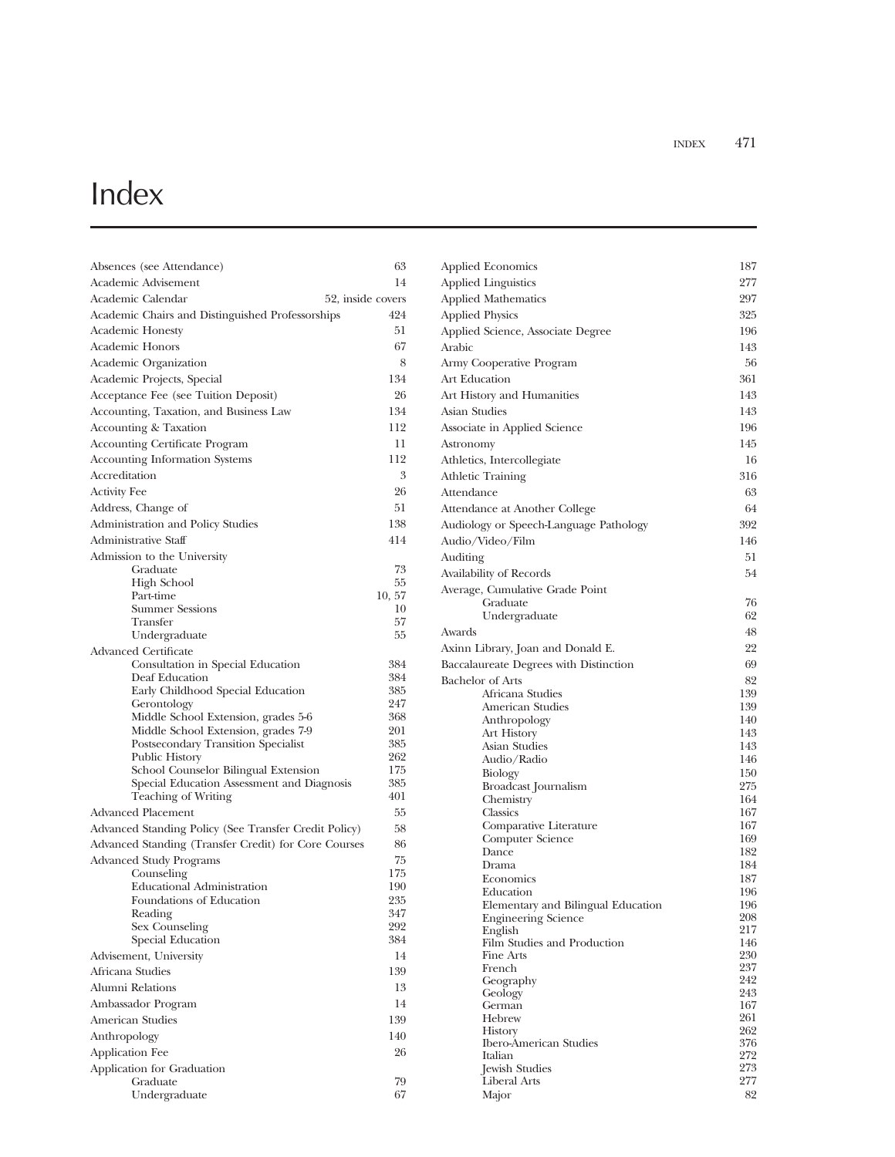## Index

| Absences (see Attendance)                                     | 63         |
|---------------------------------------------------------------|------------|
| Academic Advisement                                           | 14         |
| Academic Calendar<br>52, inside covers                        |            |
| Academic Chairs and Distinguished Professorships              | 424        |
| <b>Academic Honesty</b>                                       | 51         |
| <b>Academic Honors</b>                                        | 67         |
| Academic Organization                                         | 8          |
| Academic Projects, Special                                    | 134        |
| Acceptance Fee (see Tuition Deposit)                          | 26         |
| Accounting, Taxation, and Business Law                        | 134        |
| Accounting & Taxation                                         | 112        |
| <b>Accounting Certificate Program</b>                         | 11         |
| <b>Accounting Information Systems</b>                         | 112        |
| Accreditation                                                 | 3          |
| <b>Activity Fee</b>                                           | 26         |
| Address, Change of                                            | 51         |
| Administration and Policy Studies                             | 138        |
| Administrative Staff                                          | 414        |
| Admission to the University                                   |            |
| Graduate                                                      | 73         |
| <b>High School</b>                                            | 55         |
| Part-time                                                     | 10, 57     |
| <b>Summer Sessions</b>                                        | 10         |
| Transfer                                                      | 57         |
| Undergraduate                                                 | 55         |
| Advanced Certificate                                          |            |
| Consultation in Special Education                             | 384        |
| Deaf Education                                                | 384<br>385 |
| Early Childhood Special Education<br>Gerontology              | 247        |
| Middle School Extension, grades 5-6                           | 368        |
| Middle School Extension, grades 7-9                           | 201        |
| Postsecondary Transition Specialist                           | 385        |
| Public History                                                | 262        |
| School Counselor Bilingual Extension                          | 175        |
| Special Education Assessment and Diagnosis                    | 385        |
| Teaching of Writing                                           | 401        |
| Advanced Placement                                            | 55         |
| Advanced Standing Policy (See Transfer Credit Policy)         | 58         |
| Advanced Standing (Transfer Credit) for Core Courses          | 86         |
| <b>Advanced Study Programs</b>                                | 75         |
| Counseling                                                    | 175        |
| <b>Educational Administration</b><br>Foundations of Education | 190<br>235 |
| Reading                                                       | 347        |
| Sex Counseling                                                | 292        |
| Special Education                                             | 384        |
| Advisement, University                                        | 14         |
| Africana Studies                                              | 139        |
| Alumni Relations                                              | 13         |
| Ambassador Program                                            | 14         |
| <b>American Studies</b>                                       | 139        |
|                                                               | 140        |
| Anthropology                                                  |            |
| Application Fee                                               | 26         |
| Application for Graduation<br>Graduate                        | 79         |
| Undergraduate                                                 | 67         |
|                                                               |            |

| <b>Applied Economics</b>                                         | 187        |
|------------------------------------------------------------------|------------|
| <b>Applied Linguistics</b>                                       | 277        |
| <b>Applied Mathematics</b>                                       | 297        |
| <b>Applied Physics</b>                                           | 325        |
| Applied Science, Associate Degree                                | 196        |
| Arabic                                                           | 143        |
| Army Cooperative Program                                         | 56         |
| Art Education                                                    | 361        |
| Art History and Humanities                                       | 143        |
| Asian Studies                                                    | 143        |
| Associate in Applied Science                                     | 196        |
| Astronomy                                                        | 145        |
| Athletics, Intercollegiate                                       | 16         |
| <b>Athletic Training</b>                                         | 316        |
| Attendance                                                       | 63         |
| Attendance at Another College                                    | 64         |
| Audiology or Speech-Language Pathology                           | 392        |
| Audio/Video/Film                                                 | 146        |
| Auditing                                                         | 51         |
| Availability of Records                                          | 54         |
| Average, Cumulative Grade Point                                  |            |
| Graduate<br>Undergraduate                                        | 76<br>62   |
| Awards                                                           | 48         |
| Axinn Library, Joan and Donald E.                                | 22         |
| Baccalaureate Degrees with Distinction                           | 69         |
| <b>Bachelor</b> of Arts                                          | 82         |
| Africana Studies                                                 | 139        |
| American Studies                                                 | 139        |
| Anthropology                                                     | 140        |
| <b>Art History</b>                                               | 143        |
| Asian Studies<br>Audio/Radio                                     | 143<br>146 |
| Biology                                                          | 150        |
| Broadcast Journalism                                             | 275        |
| Chemistry                                                        | 164        |
| Classics                                                         | 167        |
| Comparative Literature<br>Computer Science                       | 167<br>169 |
| Dance                                                            | 182        |
| Drama                                                            | 184        |
| Economics                                                        | 187        |
| Education                                                        | 196        |
| Elementary and Bilingual Education<br><b>Engineering Science</b> | 196<br>208 |
| English                                                          | 217        |
| Film Studies and Production                                      | 146        |
| Fine Arts<br>French                                              | 230<br>237 |
| Geography                                                        | 242        |
| Geology                                                          | 243        |
| German                                                           | 167        |
| Hebrew<br>History                                                | 261<br>262 |
| <b>Ibero-American Studies</b>                                    | 376        |
| Italian                                                          | 272        |
| Jewish Studies                                                   | 273        |
| Liberal Arts<br>Major                                            | 277<br>82  |
|                                                                  |            |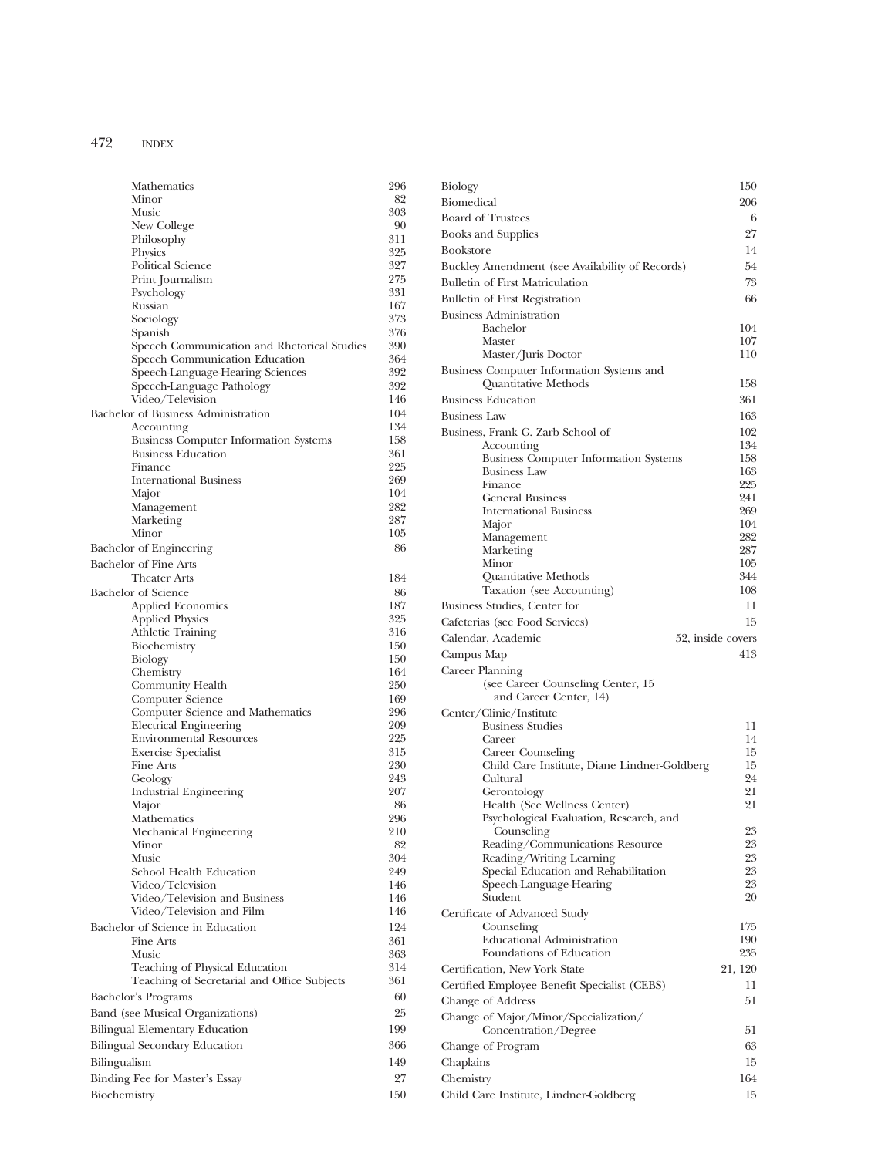| Mathematics                                                   | 296        |
|---------------------------------------------------------------|------------|
| Minor                                                         | 82         |
| Music                                                         | 303        |
| New College<br>Philosophy                                     | 90<br>311  |
| Physics                                                       | 325        |
| <b>Political Science</b>                                      | 327        |
| Print Journalism                                              | 275        |
| Psychology                                                    | 331        |
| Russian                                                       | 167        |
| Sociology                                                     | 373        |
| Spanish                                                       | 376        |
| Speech Communication and Rhetorical Studies                   | 390        |
| Speech Communication Education                                | 364<br>392 |
| Speech-Language-Hearing Sciences<br>Speech-Language Pathology | 392        |
| Video/Television                                              | 146        |
| Bachelor of Business Administration                           | 104        |
| Accounting                                                    | 134        |
| <b>Business Computer Information Systems</b>                  | 158        |
| <b>Business Education</b>                                     | 361        |
| Finance                                                       | 225        |
| <b>International Business</b>                                 | 269        |
| Major                                                         | 104        |
| Management                                                    | 282        |
| Marketing                                                     | 287        |
| Minor                                                         | 105        |
| Bachelor of Engineering                                       | 86         |
| <b>Bachelor of Fine Arts</b>                                  |            |
| <b>Theater Arts</b>                                           | 184        |
| <b>Bachelor</b> of Science                                    | 86<br>187  |
| <b>Applied Economics</b><br><b>Applied Physics</b>            | 325        |
| <b>Athletic Training</b>                                      | 316        |
| Biochemistry                                                  | 150        |
| Biology                                                       | 150        |
| Chemistry                                                     | 164        |
| Community Health                                              | 250        |
| Computer Science                                              | 169        |
| Computer Science and Mathematics                              | 296        |
| Electrical Engineering                                        | 209        |
| <b>Environmental Resources</b><br><b>Exercise Specialist</b>  | 225<br>315 |
| Fine Arts                                                     | 230        |
| Geology                                                       | 243        |
| <b>Industrial Engineering</b>                                 | 207        |
| Major                                                         | 86         |
| Mathematics                                                   | 296        |
| Mechanical Engineering                                        | 210        |
| Minor                                                         | 82         |
| <b>Music</b>                                                  | 304        |
| School Health Education                                       | 249        |
| Video/Television                                              | 146<br>146 |
| Video/Television and Business<br>Video/Television and Film    | 146        |
| Bachelor of Science in Education                              | 124        |
| Fine Arts                                                     | 361        |
| <b>Music</b>                                                  | 363        |
| Teaching of Physical Education                                | 314        |
| Teaching of Secretarial and Office Subjects                   | 361        |
| Bachelor's Programs                                           | 60         |
| Band (see Musical Organizations)                              | 25         |
| <b>Bilingual Elementary Education</b>                         | 199        |
|                                                               |            |
| Bilingual Secondary Education                                 | 366        |
| Bilingualism                                                  | 149        |
| Binding Fee for Master's Essay                                | 27         |
| Biochemistry                                                  | 150        |

| Biology                                                                        | 150                      |
|--------------------------------------------------------------------------------|--------------------------|
| Biomedical                                                                     | 206                      |
| <b>Board of Trustees</b>                                                       | 6                        |
| <b>Books and Supplies</b>                                                      | 27                       |
| <b>Bookstore</b>                                                               | 14                       |
| Buckley Amendment (see Availability of Records)                                | 54                       |
| <b>Bulletin of First Matriculation</b>                                         | 73                       |
| <b>Bulletin of First Registration</b>                                          | 66                       |
| <b>Business Administration</b>                                                 |                          |
| Bachelor                                                                       | 104                      |
| Master                                                                         | 107                      |
| Master/Juris Doctor                                                            | 110                      |
| Business Computer Information Systems and<br><b>Quantitative Methods</b>       | 158                      |
| <b>Business Education</b>                                                      | 361                      |
| <b>Business Law</b>                                                            | 163                      |
| Business, Frank G. Zarb School of                                              | 102                      |
| Accounting                                                                     | 134                      |
| <b>Business Computer Information Systems</b>                                   | 158                      |
| <b>Business Law</b>                                                            | 163<br>225               |
| Finance<br><b>General Business</b>                                             | 241                      |
| <b>International Business</b>                                                  | 269                      |
| Major                                                                          | 104                      |
| Management                                                                     | 282                      |
| Marketing                                                                      | 287                      |
| Minor                                                                          | 105                      |
| Quantitative Methods<br>Taxation (see Accounting)                              | 344<br>108               |
| Business Studies, Center for                                                   | 11                       |
| Cafeterias (see Food Services)                                                 | 15                       |
|                                                                                |                          |
| Calendar, Academic                                                             | 52, inside covers<br>413 |
| Campus Map                                                                     |                          |
| Career Planning<br>(see Career Counseling Center, 15<br>and Career Center, 14) |                          |
| Center/Clinic/Institute                                                        |                          |
| <b>Business Studies</b>                                                        | 11                       |
| Career                                                                         | 14                       |
| Career Counseling                                                              | 15                       |
| Child Care Institute, Diane Lindner-Goldberg                                   | 15                       |
| Cultural                                                                       | 24                       |
| Gerontology                                                                    | 21<br>21                 |
| Health (See Wellness Center)<br>Psychological Evaluation, Research, and        |                          |
| Counseling                                                                     | 23                       |
| Reading/Communications Resource                                                | 23                       |
| Reading/Writing Learning                                                       | 23                       |
| Special Education and Rehabilitation                                           | 23                       |
| Speech-Language-Hearing                                                        | 23<br>20                 |
| Student                                                                        |                          |
| Certificate of Advanced Study<br>Counseling                                    | 175                      |
| <b>Educational Administration</b>                                              | 190                      |
| Foundations of Education                                                       | 235                      |
| Certification, New York State                                                  | 21, 120                  |
| Certified Employee Benefit Specialist (CEBS)                                   | 11                       |
| Change of Address                                                              | 51                       |
| Change of Major/Minor/Specialization/                                          |                          |
| Concentration/Degree                                                           | 51                       |
| Change of Program                                                              | 63                       |
| Chaplains                                                                      | 15                       |
| Chemistry                                                                      | 164                      |
| Child Care Institute, Lindner-Goldberg                                         | 15                       |
|                                                                                |                          |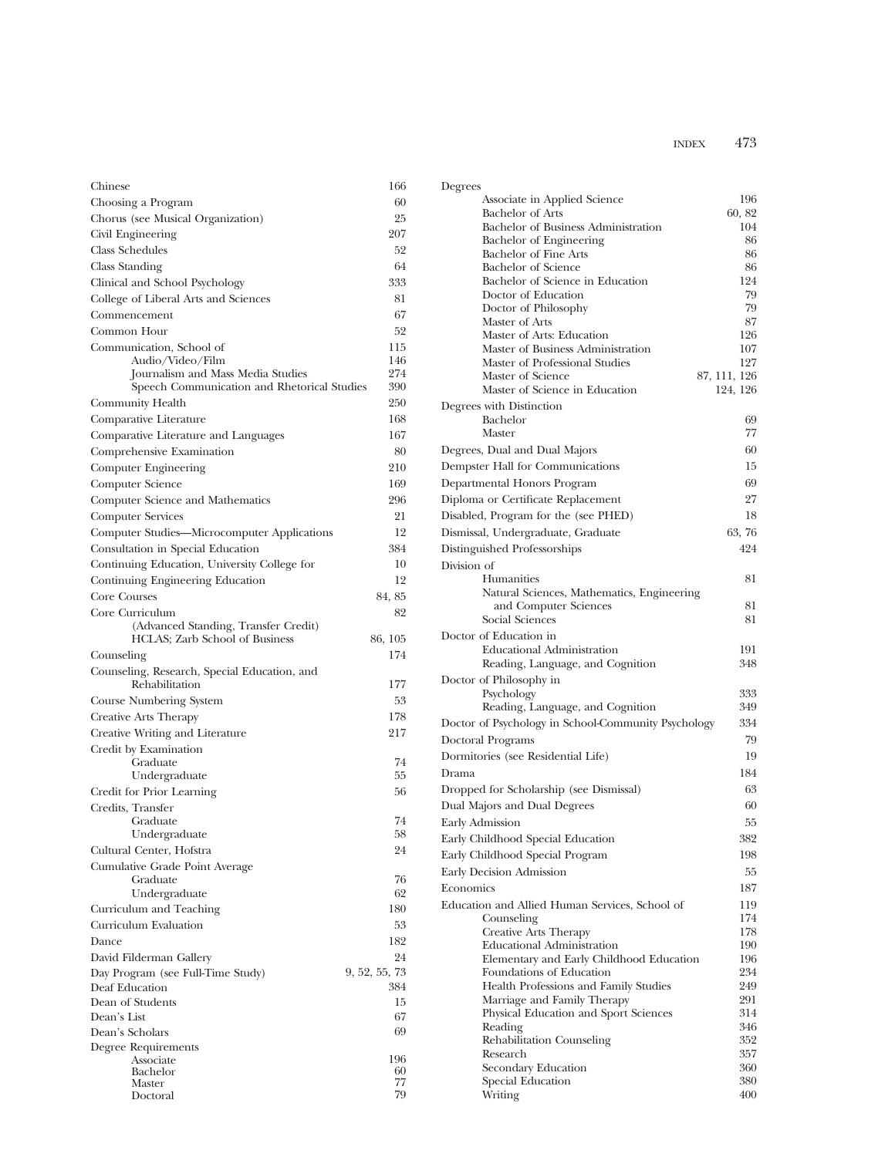| Chinese                                      | 166           |
|----------------------------------------------|---------------|
| Choosing a Program                           | 60            |
| Chorus (see Musical Organization)            | 25            |
| Civil Engineering                            | 207           |
| <b>Class Schedules</b>                       | 52            |
| Class Standing                               | 64            |
| Clinical and School Psychology               | 333           |
| College of Liberal Arts and Sciences         | 81            |
| Commencement                                 | 67            |
| Common Hour                                  | 52            |
| Communication, School of                     | 115           |
| Audio/Video/Film                             | 146           |
| Journalism and Mass Media Studies            | 274           |
| Speech Communication and Rhetorical Studies  | 390           |
| Community Health                             | 250           |
| Comparative Literature                       | 168           |
| Comparative Literature and Languages         | 167           |
| Comprehensive Examination                    | 80            |
| Computer Engineering                         | 210           |
| Computer Science                             | 169           |
| Computer Science and Mathematics             | 296           |
| <b>Computer Services</b>                     | 21            |
| Computer Studies—Microcomputer Applications  | 12            |
| Consultation in Special Education            | 384           |
| Continuing Education, University College for | 10            |
| Continuing Engineering Education             | 12            |
| Core Courses                                 | 84, 85        |
| Core Curriculum                              | 82            |
| (Advanced Standing, Transfer Credit)         |               |
| HCLAS; Zarb School of Business               | 86, 105       |
| Counseling                                   | 174           |
| Counseling, Research, Special Education, and |               |
| Rehabilitation                               | 177           |
| Course Numbering System                      | 53            |
| Creative Arts Therapy                        | 178           |
| Creative Writing and Literature              | 217           |
| Credit by Examination                        |               |
| Graduate<br>Undergraduate                    | 74<br>55      |
| Credit for Prior Learning                    | 56            |
| Credits, Transfer                            |               |
| Graduate                                     | 74            |
| Undergraduate                                | 58            |
| Cultural Center, Hofstra                     | 24            |
| Cumulative Grade Point Average               |               |
| Graduate                                     | 76            |
| Undergraduate                                | 62            |
| Curriculum and Teaching                      | 180           |
| Curriculum Evaluation                        | 53            |
| Dance                                        | 182           |
| David Filderman Gallery                      | 24            |
| Day Program (see Full-Time Study)            | 9, 52, 55, 73 |
| Deaf Education                               | 384           |
| Dean of Students                             | 15            |
| Dean's List                                  | 67            |
| Dean's Scholars                              | 69            |
| Degree Requirements<br>Associate             | 196           |
| Bachelor                                     | 60            |
| Master                                       | 77            |
| Doctoral                                     | 79            |

| Degrees                                                      |              |
|--------------------------------------------------------------|--------------|
| Associate in Applied Science                                 | 196          |
| <b>Bachelor</b> of Arts                                      | 60, 82       |
| Bachelor of Business Administration                          | 104<br>86    |
| Bachelor of Engineering<br>Bachelor of Fine Arts             | 86           |
| <b>Bachelor of Science</b>                                   | 86           |
| Bachelor of Science in Education                             | 124          |
| Doctor of Education                                          | 79           |
| Doctor of Philosophy                                         | 79           |
| Master of Arts                                               | 87           |
| Master of Arts: Education                                    | 126          |
| Master of Business Administration                            | 107          |
| Master of Professional Studies                               | 127          |
| Master of Science                                            | 87, 111, 126 |
| Master of Science in Education                               | 124, 126     |
| Degrees with Distinction                                     |              |
| Bachelor<br>Master                                           | 69<br>77     |
|                                                              |              |
| Degrees, Dual and Dual Majors                                | 60           |
| Dempster Hall for Communications                             | 15           |
| Departmental Honors Program                                  | 69           |
| Diploma or Certificate Replacement                           | 27           |
| Disabled, Program for the (see PHED)                         | 18           |
| Dismissal, Undergraduate, Graduate                           | 63,76        |
| Distinguished Professorships                                 | 424          |
| Division of                                                  |              |
| <b>Humanities</b>                                            | 81           |
| Natural Sciences, Mathematics, Engineering                   |              |
| and Computer Sciences                                        | 81           |
| Social Sciences                                              | 81           |
| Doctor of Education in                                       |              |
| <b>Educational Administration</b>                            | 191          |
| Reading, Language, and Cognition                             | 348          |
| Doctor of Philosophy in                                      |              |
| Psychology                                                   | 333          |
| Reading, Language, and Cognition                             | 349          |
| Doctor of Psychology in School-Community Psychology          | 334          |
| Doctoral Programs                                            | 79           |
| Dormitories (see Residential Life)                           | 19           |
|                                                              |              |
| Drama                                                        | 184          |
| Dropped for Scholarship (see Dismissal)                      | 63           |
| Dual Majors and Dual Degrees                                 | 60           |
| <b>Early Admission</b>                                       | 55           |
| Early Childhood Special Education                            | 382          |
| Early Childhood Special Program                              | 198          |
| Early Decision Admission                                     | 55           |
| Economics                                                    | 187          |
|                                                              |              |
| Education and Allied Human Services, School of<br>Counseling | 119<br>174   |
| Creative Arts Therapy                                        | 178          |
| <b>Educational Administration</b>                            | 190          |
| Elementary and Early Childhood Education                     | 196          |
| Foundations of Education                                     | 234          |
| Health Professions and Family Studies                        | 249          |
| Marriage and Family Therapy                                  | 291          |
| Physical Education and Sport Sciences                        | 314          |
| Reading                                                      | 346          |
| Rehabilitation Counseling                                    | 352          |
| Research                                                     | 357          |
| Secondary Education                                          | 360          |
| Special Education                                            | 380          |
| Writing                                                      | 400          |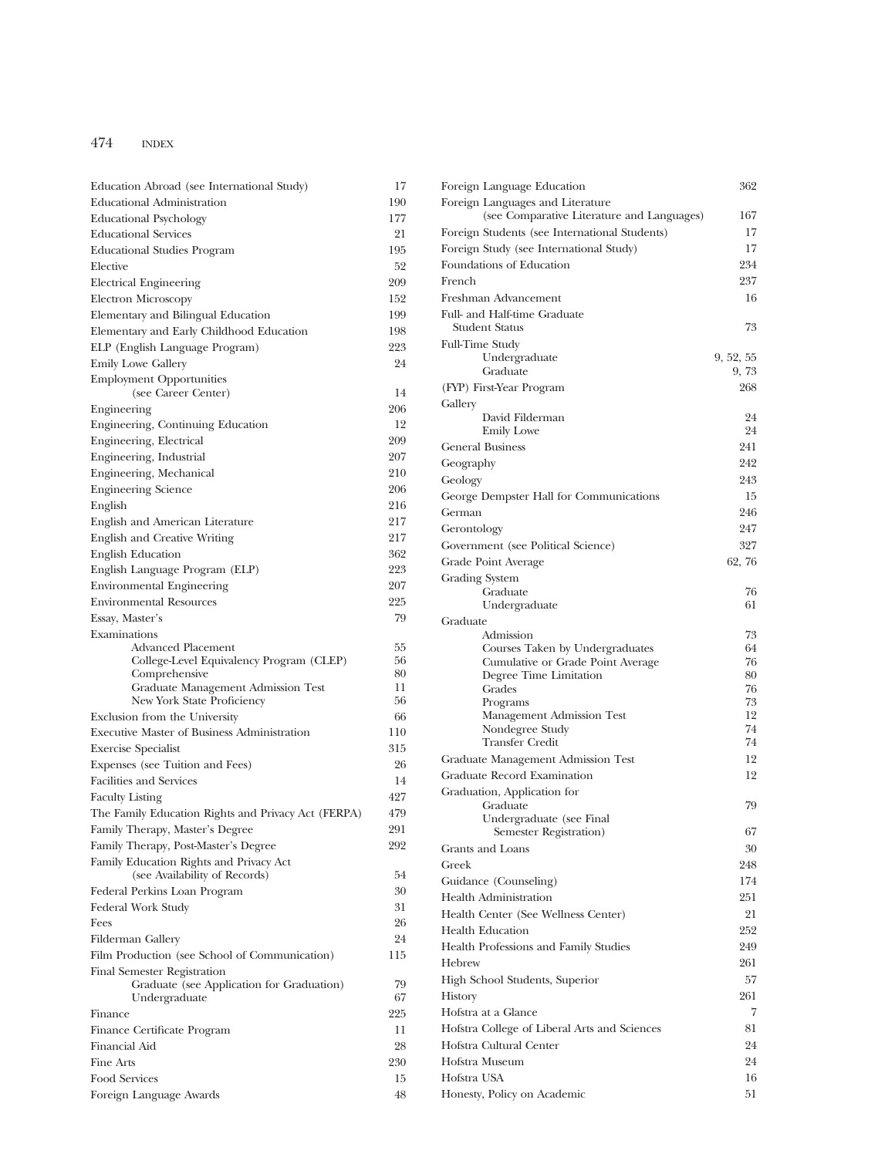| Education Abroad (see International Study)                         | 17         |
|--------------------------------------------------------------------|------------|
| Educational Administration                                         | 190        |
| <b>Educational Psychology</b>                                      | 177        |
| <b>Educational Services</b>                                        | 21         |
| <b>Educational Studies Program</b>                                 | 195        |
| Elective                                                           | 52         |
| <b>Electrical Engineering</b>                                      | 209        |
| Electron Microscopy                                                | 152        |
| Elementary and Bilingual Education                                 | 199        |
| Elementary and Early Childhood Education                           | 198        |
| ELP (English Language Program)                                     | 223        |
| <b>Emily Lowe Gallery</b>                                          | 24         |
| <b>Employment Opportunities</b>                                    |            |
| (see Career Center)                                                | 14<br>206  |
| Engineering                                                        |            |
| Engineering, Continuing Education                                  | 12<br>209  |
| Engineering, Electrical                                            |            |
| Engineering, Industrial                                            | 207        |
| Engineering, Mechanical                                            | 210<br>206 |
| <b>Engineering Science</b>                                         | 216        |
| English                                                            | 217        |
| English and American Literature<br>English and Creative Writing    | 217        |
| <b>English Education</b>                                           | 362        |
|                                                                    | 223        |
| English Language Program (ELP)                                     | 207        |
| <b>Environmental Engineering</b><br><b>Environmental Resources</b> | 225        |
| Essay, Master's                                                    | 79         |
| Examinations                                                       |            |
| Advanced Placement                                                 | 55         |
| College-Level Equivalency Program (CLEP)                           | 56         |
| Comprehensive                                                      | 80         |
| Graduate Management Admission Test<br>New York State Proficiency   | 11<br>56   |
| Exclusion from the University                                      | 66         |
| <b>Executive Master of Business Administration</b>                 | 110        |
| <b>Exercise Specialist</b>                                         | 315        |
| Expenses (see Tuition and Fees)                                    | 26         |
| <b>Facilities and Services</b>                                     | 14         |
| <b>Faculty Listing</b>                                             | 427        |
| The Family Education Rights and Privacy Act (FERPA)                | 479        |
| Family Therapy, Master's Degree                                    | 291        |
| Family Therapy, Post-Master's Degree                               | 292        |
| Family Education Rights and Privacy Act                            |            |
| (see Availability of Records)                                      | 54         |
| Federal Perkins Loan Program                                       | 30         |
| Federal Work Study                                                 | 31         |
| Fees                                                               | 26         |
| Filderman Gallery                                                  | 24         |
| Film Production (see School of Communication)                      | 115        |
| Final Semester Registration                                        |            |
| Graduate (see Application for Graduation)                          | 79         |
| Undergraduate                                                      | 67         |
| Finance                                                            | 225        |
| Finance Certificate Program                                        | 11         |
| Financial Aid                                                      | 28         |
| Fine Arts                                                          | 230        |
| Food Services                                                      | 15         |
| Foreign Language Awards                                            | 48         |

| Foreign Language Education                                          | 362       |
|---------------------------------------------------------------------|-----------|
| Foreign Languages and Literature                                    |           |
| (see Comparative Literature and Languages)                          | 167       |
| Foreign Students (see International Students)                       | 17        |
| Foreign Study (see International Study)<br>Foundations of Education | 17<br>234 |
| French                                                              | 237       |
|                                                                     |           |
| Freshman Advancement                                                | 16        |
| Full- and Half-time Graduate<br><b>Student Status</b>               | 73        |
| <b>Full-Time Study</b>                                              |           |
| Undergraduate                                                       | 9, 52, 55 |
| Graduate                                                            | 9,73      |
| (FYP) First-Year Program                                            | 268       |
| Gallery                                                             |           |
| David Filderman                                                     | 24        |
| <b>Emily Lowe</b>                                                   | 24        |
| <b>General Business</b>                                             | 241       |
| Geography                                                           | 242       |
| Geology                                                             | 243       |
| George Dempster Hall for Communications                             | 15        |
| German                                                              | 246       |
| Gerontology                                                         | 247       |
| Government (see Political Science)                                  | 327       |
| Grade Point Average                                                 | 62,76     |
| Grading System<br>Graduate                                          | 76        |
| Undergraduate                                                       | 61        |
| Graduate                                                            |           |
| Admission                                                           | 73        |
| Courses Taken by Undergraduates                                     | 64        |
| Cumulative or Grade Point Average                                   | 76        |
| Degree Time Limitation<br>Grades                                    | 80<br>76  |
| Programs                                                            | 73        |
| Management Admission Test                                           | 12        |
| Nondegree Study                                                     | 74        |
| <b>Transfer Credit</b>                                              | 74        |
| Graduate Management Admission Test                                  | 12        |
| Graduate Record Examination                                         | 12        |
| Graduation, Application for                                         |           |
| Graduate<br>Undergraduate (see Final                                | 79        |
| Semester Registration)                                              | 67        |
| Grants and Loans                                                    | 30        |
| Greek                                                               | 248       |
| Guidance (Counseling)                                               | 174       |
| <b>Health Administration</b>                                        | 251       |
| Health Center (See Wellness Center)                                 | 21        |
| Health Education                                                    | 252       |
| Health Professions and Family Studies                               | 249       |
| Hebrew                                                              | 261       |
| High School Students, Superior                                      | 57        |
| History                                                             | 261       |
| Hofstra at a Glance                                                 | 7         |
| Hofstra College of Liberal Arts and Sciences                        | 81        |
| Hofstra Cultural Center                                             | 24        |
| Hofstra Museum                                                      | 24        |
| Hofstra USA                                                         | 16        |
| Honesty, Policy on Academic                                         | 51        |
|                                                                     |           |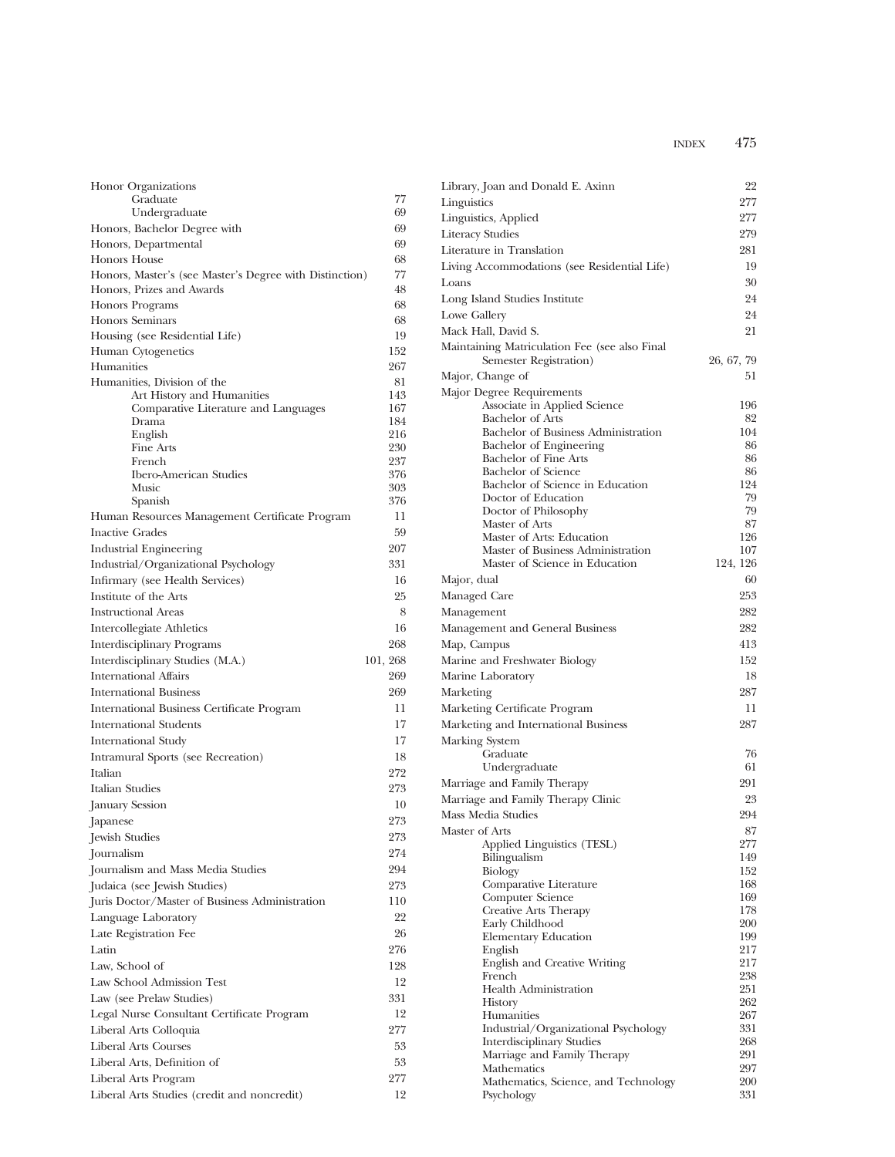| Honor Organizations                                                    |            |
|------------------------------------------------------------------------|------------|
| Graduate                                                               | 77         |
| Undergraduate                                                          | 69         |
| Honors, Bachelor Degree with                                           | 69         |
| Honors, Departmental                                                   | 69         |
| <b>Honors House</b>                                                    | 68         |
| Honors, Master's (see Master's Degree with Distinction)                | 77         |
| Honors, Prizes and Awards                                              | 48         |
| <b>Honors Programs</b>                                                 | 68<br>68   |
| <b>Honors Seminars</b>                                                 | 19         |
| Housing (see Residential Life)<br>Human Cytogenetics                   | 152        |
| Humanities                                                             | 267        |
| Humanities, Division of the                                            | 81         |
| Art History and Humanities                                             | 143        |
| Comparative Literature and Languages                                   | 167        |
| Drama                                                                  | 184        |
| English                                                                | 216<br>230 |
| Fine Arts<br>French                                                    | 237        |
| <b>Ibero-American Studies</b>                                          | 376        |
| Music                                                                  | 303        |
| Spanish                                                                | 376        |
| Human Resources Management Certificate Program                         | 11         |
| <b>Inactive Grades</b>                                                 | 59         |
| <b>Industrial Engineering</b>                                          | 207        |
| Industrial/Organizational Psychology                                   | 331        |
| Infirmary (see Health Services)                                        | 16         |
| Institute of the Arts                                                  | 25         |
| <b>Instructional Areas</b>                                             | 8          |
| Intercollegiate Athletics                                              | 16         |
| <b>Interdisciplinary Programs</b>                                      | 268        |
| Interdisciplinary Studies (M.A.)                                       | 101, 268   |
| <b>International Affairs</b>                                           | 269        |
| <b>International Business</b>                                          | 269        |
| International Business Certificate Program                             | 11         |
| <b>International Students</b>                                          | 17         |
| <b>International Study</b>                                             | 17         |
| Intramural Sports (see Recreation)                                     | 18         |
| Italian                                                                | 272        |
| Italian Studies                                                        | 273        |
| January Session                                                        | 10         |
| Japanese                                                               | 273        |
| Jewish Studies                                                         | 273        |
| Journalism                                                             | 274        |
| Journalism and Mass Media Studies                                      | 294        |
| Judaica (see Jewish Studies)                                           | 273        |
| Juris Doctor/Master of Business Administration                         | 110        |
| Language Laboratory                                                    | 22         |
| Late Registration Fee                                                  | 26         |
|                                                                        |            |
| Latin                                                                  | 276        |
| Law. School of                                                         | 128        |
| Law School Admission Test                                              | 12         |
|                                                                        | 331        |
| Law (see Prelaw Studies)<br>Legal Nurse Consultant Certificate Program | 12         |
| Liberal Arts Colloquia                                                 | 277        |
| <b>Liberal Arts Courses</b>                                            | 53         |
| Liberal Arts, Definition of                                            | 53         |
| Liberal Arts Program                                                   | 277        |

| Library, Joan and Donald E. Axinn                                       | 22              |
|-------------------------------------------------------------------------|-----------------|
| Linguistics                                                             | 277             |
| Linguistics, Applied                                                    | 277             |
| <b>Literacy Studies</b>                                                 | 279             |
| Literature in Translation                                               | 281             |
| Living Accommodations (see Residential Life)                            | 19              |
| Loans                                                                   | 30              |
| Long Island Studies Institute                                           | 24              |
| Lowe Gallery                                                            | 24              |
| Mack Hall, David S.                                                     | 21              |
| Maintaining Matriculation Fee (see also Final<br>Semester Registration) | 26, 67, 79      |
| Major, Change of                                                        | 51              |
| Major Degree Requirements                                               |                 |
| Associate in Applied Science                                            | 196             |
| Bachelor of Arts                                                        | 82              |
| Bachelor of Business Administration                                     | 104             |
| Bachelor of Engineering                                                 | 86              |
| <b>Bachelor of Fine Arts</b><br><b>Bachelor</b> of Science              | 86<br>86        |
| Bachelor of Science in Education                                        | 124             |
| Doctor of Education                                                     | 79              |
| Doctor of Philosophy                                                    | 79              |
| Master of Arts                                                          | 87              |
| Master of Arts: Education                                               | 126             |
| Master of Business Administration<br>Master of Science in Education     | 107<br>124, 126 |
|                                                                         | 60              |
| Major, dual                                                             | 253             |
| Managed Care                                                            |                 |
| Management                                                              | 282             |
| Management and General Business                                         | 282             |
| Map, Campus                                                             | 413             |
| Marine and Freshwater Biology                                           | 152             |
| Marine Laboratory                                                       | 18              |
| Marketing                                                               | 287             |
| Marketing Certificate Program                                           | 11              |
| Marketing and International Business                                    | 287             |
| Marking System                                                          |                 |
| Graduate                                                                | 76              |
| Undergraduate                                                           | 61<br>291       |
| Marriage and Family Therapy                                             |                 |
| Marriage and Family Therapy Clinic                                      | 23              |
| Mass Media Studies                                                      | 294             |
| Master of Arts                                                          | 87              |
| Applied Linguistics (TESL)<br>Bilingualism                              | 277<br>149      |
| Biology                                                                 | 152             |
| Comparative Literature                                                  | 168             |
| <b>Computer Science</b>                                                 | 169             |
| Creative Arts Therapy                                                   | 178             |
| Early Childhood                                                         | 200             |
| <b>Elementary Education</b>                                             | 199<br>217      |
| English<br>English and Creative Writing                                 | 217             |
| French                                                                  | 238             |
| <b>Health Administration</b>                                            | 251             |
| History                                                                 | 262             |
| Humanities                                                              | 267             |
| Industrial/Organizational Psychology                                    | 331             |
| <b>Interdisciplinary Studies</b>                                        | 268             |
| Marriage and Family Therapy<br>Mathematics                              | 291<br>297      |
| Mathematics, Science, and Technology                                    | 200             |
| Psychology                                                              | 331             |
|                                                                         |                 |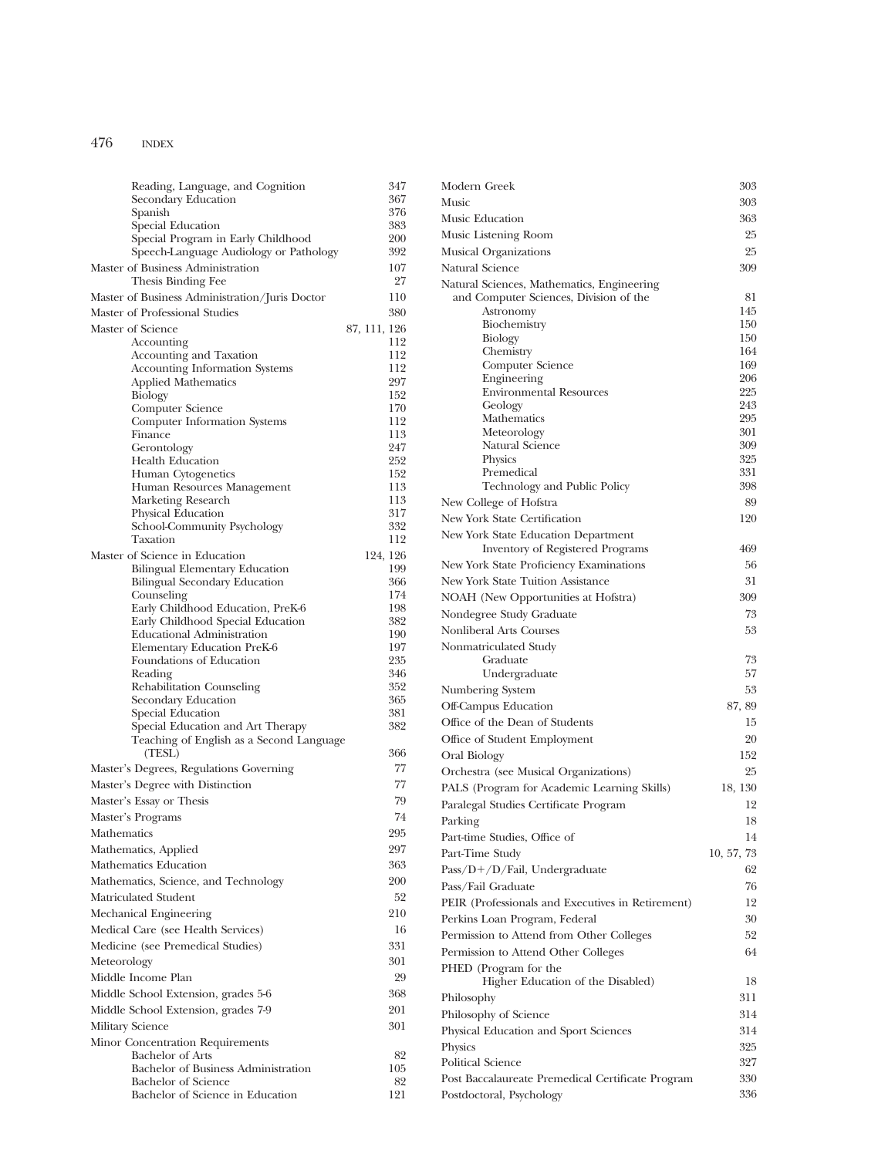| Reading, Language, and Cognition                        |              | 347        |
|---------------------------------------------------------|--------------|------------|
| Secondary Education                                     |              | 367        |
| Spanish                                                 |              | 376<br>383 |
| Special Education<br>Special Program in Early Childhood |              | 200        |
| Speech-Language Audiology or Pathology                  |              | 392        |
| Master of Business Administration                       |              | 107        |
| Thesis Binding Fee                                      |              | 27         |
| Master of Business Administration/Juris Doctor          |              | 110        |
| Master of Professional Studies                          |              | 380        |
| Master of Science                                       | 87, 111, 126 |            |
| Accounting                                              |              | 112        |
| Accounting and Taxation                                 |              | 112        |
| Accounting Information Systems                          |              | 112        |
| <b>Applied Mathematics</b><br>Biology                   |              | 297<br>152 |
| Computer Science                                        |              | 170        |
| <b>Computer Information Systems</b>                     |              | 112        |
| Finance                                                 |              | 113        |
| Gerontology                                             |              | 247        |
| <b>Health Education</b>                                 |              | 252        |
| Human Cytogenetics<br>Human Resources Management        |              | 152<br>113 |
| Marketing Research                                      |              | 113        |
| Physical Education                                      |              | 317        |
| School-Community Psychology                             |              | 332        |
| Taxation                                                |              | 112        |
| Master of Science in Education                          | 124, 126     |            |
| <b>Bilingual Elementary Education</b>                   |              | 199        |
| <b>Bilingual Secondary Education</b><br>Counseling      |              | 366<br>174 |
| Early Childhood Education, PreK-6                       |              | 198        |
| Early Childhood Special Education                       |              | 382        |
| Educational Administration                              |              | 190        |
| Elementary Education PreK-6                             |              | 197        |
| Foundations of Education                                |              | 235        |
| Reading                                                 |              | 346<br>352 |
| Rehabilitation Counseling<br>Secondary Education        |              | 365        |
| Special Education                                       |              | 381        |
| Special Education and Art Therapy                       |              | 382        |
| Teaching of English as a Second Language<br>(TESL)      |              | 366        |
| Master's Degrees, Regulations Governing                 |              | 77         |
| Master's Degree with Distinction                        |              | 77         |
| Master's Essay or Thesis                                |              | 79         |
|                                                         |              | 74         |
| Master's Programs                                       |              |            |
| Mathematics                                             |              | 295        |
| Mathematics, Applied                                    |              | 297        |
| Mathematics Education                                   |              | 363        |
| Mathematics, Science, and Technology                    |              | 200        |
| Matriculated Student                                    |              | 52         |
| Mechanical Engineering                                  |              | 210        |
| Medical Care (see Health Services)                      |              | 16         |
| Medicine (see Premedical Studies)                       |              | 331        |
| Meteorology                                             |              | 301        |
| Middle Income Plan                                      |              | 29         |
| Middle School Extension, grades 5-6                     |              | 368        |
| Middle School Extension, grades 7-9                     |              | 201        |
| Military Science                                        |              | 301        |
| Minor Concentration Requirements                        |              |            |
| <b>Bachelor of Arts</b>                                 |              | 82         |
| Bachelor of Business Administration                     |              | 105        |
| Bachelor of Science                                     |              | 82         |
| Bachelor of Science in Education                        |              | 121        |

| Modern Greek                                      | 303        |
|---------------------------------------------------|------------|
| Music                                             | 303        |
| Music Education                                   | 363        |
| Music Listening Room                              | 25         |
| Musical Organizations                             | 25         |
| Natural Science                                   | 309        |
| Natural Sciences, Mathematics, Engineering        |            |
| and Computer Sciences, Division of the            | 81         |
| Astronomy                                         | 145        |
| Biochemistry                                      | 150        |
| Biology                                           | 150<br>164 |
| Chemistry<br>Computer Science                     | 169        |
| Engineering                                       | 206        |
| <b>Environmental Resources</b>                    | 225        |
| Geology                                           | 243        |
| Mathematics                                       | 295        |
| Meteorology                                       | 301        |
| Natural Science                                   | 309<br>325 |
| Physics<br>Premedical                             | 331        |
| Technology and Public Policy                      | 398        |
| New College of Hofstra                            | 89         |
| New York State Certification                      | 120        |
| New York State Education Department               |            |
| Inventory of Registered Programs                  | 469        |
| New York State Proficiency Examinations           | 56         |
| New York State Tuition Assistance                 | 31         |
| NOAH (New Opportunities at Hofstra)               | 309        |
| Nondegree Study Graduate                          | 73         |
| Nonliberal Arts Courses                           | 53         |
|                                                   |            |
| Nonmatriculated Study<br>Graduate                 | 73         |
| Undergraduate                                     | 57         |
| Numbering System                                  | 53         |
| Off-Campus Education                              | 87, 89     |
| Office of the Dean of Students                    | 15         |
|                                                   | 20         |
| Office of Student Employment                      |            |
| Oral Biology                                      | 152        |
| Orchestra (see Musical Organizations)             | 25         |
| PALS (Program for Academic Learning Skills)       | 18, 130    |
| Paralegal Studies Certificate Program             | 12         |
| Parking                                           | 18         |
| Part-time Studies, Office of                      | 14         |
| Part-Time Study                                   | 10, 57, 73 |
| Pass/D+/D/Fail, Undergraduate                     | 62         |
| Pass/Fail Graduate                                | 76         |
| PEIR (Professionals and Executives in Retirement) | 12         |
| Perkins Loan Program, Federal                     | 30         |
| Permission to Attend from Other Colleges          | 52         |
| Permission to Attend Other Colleges               | 64         |
| PHED (Program for the                             |            |
| Higher Education of the Disabled)                 | 18         |
| Philosophy                                        | 311        |
| Philosophy of Science                             | 314        |
| Physical Education and Sport Sciences             | 314        |
| Physics                                           | 325        |
| <b>Political Science</b>                          | 327        |
|                                                   | 330        |
| Post Baccalaureate Premedical Certificate Program |            |
| Postdoctoral, Psychology                          | 336        |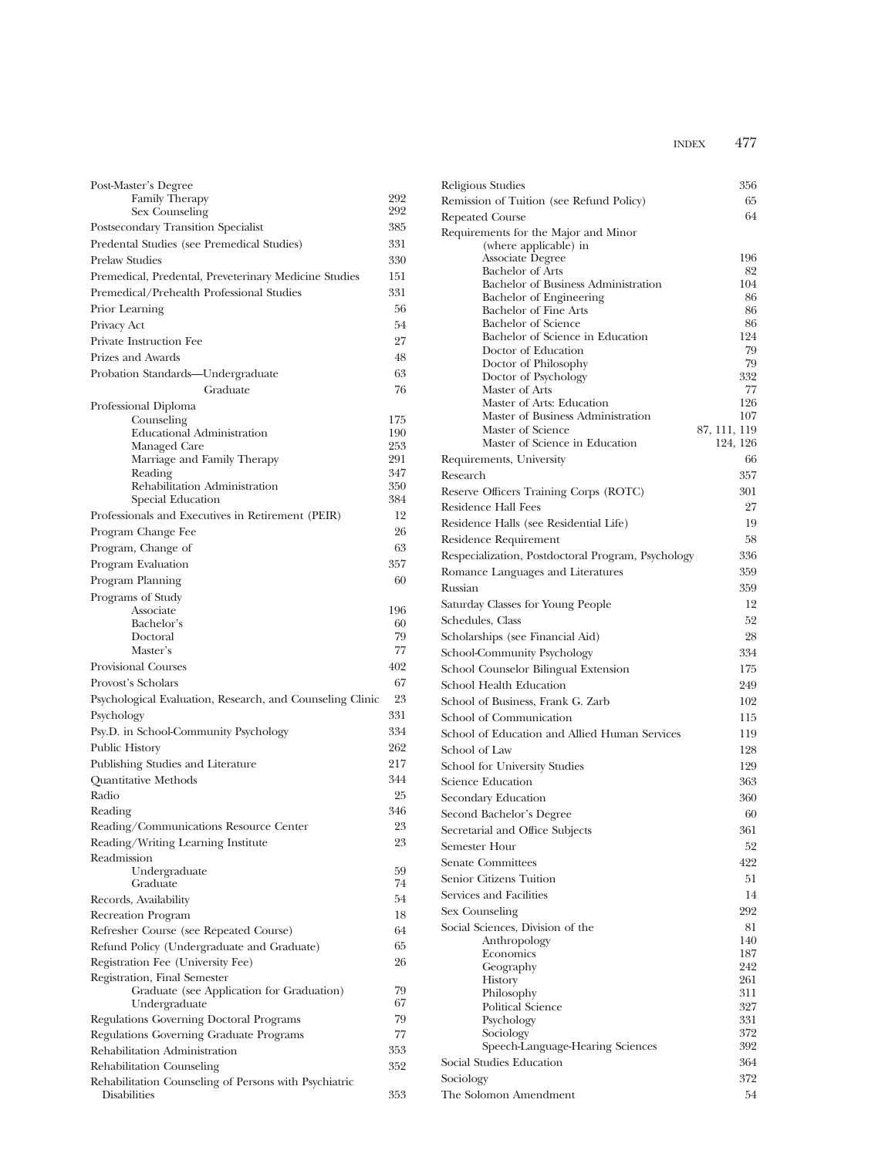| Post-Master's Degree                                                  |            |
|-----------------------------------------------------------------------|------------|
| Family Therapy                                                        | 292        |
| Sex Counseling                                                        | 292        |
| Postsecondary Transition Specialist                                   | 385        |
| Predental Studies (see Premedical Studies)                            | 331        |
| <b>Prelaw Studies</b>                                                 | 330        |
| Premedical, Predental, Preveterinary Medicine Studies                 | 151        |
| Premedical/Prehealth Professional Studies                             | 331        |
| Prior Learning                                                        | 56         |
| Privacy Act                                                           | 54         |
| Private Instruction Fee                                               | 27         |
| Prizes and Awards                                                     | 48         |
| Probation Standards-Undergraduate                                     | 63         |
| Graduate                                                              | 76         |
| Professional Diploma                                                  |            |
| Counseling                                                            | 175        |
| <b>Educational Administration</b>                                     | 190        |
| Managed Care                                                          | 253        |
| Marriage and Family Therapy<br>Reading                                | 291<br>347 |
| Rehabilitation Administration                                         | 350        |
| Special Education                                                     | 384        |
| Professionals and Executives in Retirement (PEIR)                     | 12         |
| Program Change Fee                                                    | 26         |
| Program, Change of                                                    | 63         |
| Program Evaluation                                                    | 357        |
| Program Planning                                                      | 60         |
|                                                                       |            |
| Programs of Study<br>Associate                                        | 196        |
| Bachelor's                                                            | 60         |
| Doctoral                                                              | 79         |
| Master's                                                              | 77         |
| <b>Provisional Courses</b>                                            | 402        |
| Provost's Scholars                                                    | 67         |
| Psychological Evaluation, Research, and Counseling Clinic             | 23         |
| Psychology                                                            | 331        |
| Psy.D. in School-Community Psychology                                 | 334        |
| <b>Public History</b>                                                 | 262        |
| Publishing Studies and Literature                                     | 217        |
| <b>Quantitative Methods</b>                                           | 344        |
| Radio                                                                 | 25         |
| Reading                                                               | 346        |
| Reading/Communications Resource Center                                | 23         |
| Reading/Writing Learning Institute                                    | 23         |
| Readmission                                                           |            |
| Undergraduate                                                         | 59         |
| Graduate                                                              | 74         |
| Records, Availability                                                 | 54         |
| Recreation Program                                                    | 18         |
| Refresher Course (see Repeated Course)                                | 64         |
| Refund Policy (Undergraduate and Graduate)                            | 65         |
| Registration Fee (University Fee)                                     | 26         |
| Registration, Final Semester                                          |            |
| Graduate (see Application for Graduation)                             | 79         |
| Undergraduate                                                         | 67         |
| Regulations Governing Doctoral Programs                               | 79         |
| Regulations Governing Graduate Programs                               | 77         |
| Rehabilitation Administration                                         | 353        |
| Rehabilitation Counseling                                             | 352        |
| Rehabilitation Counseling of Persons with Psychiatric<br>Disabilities | 353        |
|                                                                       |            |

| Religious Studies                                              | 356                      |
|----------------------------------------------------------------|--------------------------|
| Remission of Tuition (see Refund Policy)                       | 65                       |
| <b>Repeated Course</b>                                         | 64                       |
| Requirements for the Major and Minor                           |                          |
| (where applicable) in                                          |                          |
| Associate Degree                                               | 196                      |
| <b>Bachelor of Arts</b><br>Bachelor of Business Administration | 82<br>104                |
| Bachelor of Engineering                                        | 86                       |
| Bachelor of Fine Arts                                          | 86                       |
| <b>Bachelor</b> of Science                                     | 86                       |
| Bachelor of Science in Education                               | 124                      |
| Doctor of Education<br>Doctor of Philosophy                    | 79<br>79                 |
| Doctor of Psychology                                           | 332                      |
| Master of Arts                                                 | 77                       |
| Master of Arts: Education                                      | 126                      |
| Master of Business Administration                              | 107                      |
| Master of Science<br>Master of Science in Education            | 87, 111, 119<br>124, 126 |
| Requirements, University                                       | 66                       |
| Research                                                       | 357                      |
| Reserve Officers Training Corps (ROTC)                         | 301                      |
| Residence Hall Fees                                            | 27                       |
| Residence Halls (see Residential Life)                         | 19                       |
| Residence Requirement                                          | 58                       |
| Respecialization, Postdoctoral Program, Psychology             | 336                      |
| Romance Languages and Literatures                              | 359                      |
| Russian                                                        | 359                      |
| Saturday Classes for Young People                              | 12                       |
| Schedules, Class                                               | 52                       |
| Scholarships (see Financial Aid)                               | 28                       |
| School-Community Psychology                                    | 334                      |
| School Counselor Bilingual Extension                           | 175                      |
| School Health Education                                        | 249                      |
| School of Business, Frank G. Zarb                              | 102                      |
| School of Communication                                        | 115                      |
| School of Education and Allied Human Services                  | 119                      |
| School of Law                                                  | 128                      |
| School for University Studies                                  | 129                      |
| Science Education                                              | 363                      |
| Secondary Education                                            | 360                      |
| Second Bachelor's Degree                                       | 60                       |
| Secretarial and Office Subjects                                | 361                      |
| Semester Hour                                                  | 52                       |
| <b>Senate Committees</b>                                       | 422                      |
| Senior Citizens Tuition                                        | 51                       |
| Services and Facilities                                        | 14                       |
| Sex Counseling                                                 | 292                      |
| Social Sciences, Division of the                               | 81                       |
| Anthropology                                                   | 140                      |
| Economics                                                      | 187                      |
| Geography                                                      | 242                      |
| History<br>Philosophy                                          | 261<br>311               |
| <b>Political Science</b>                                       | 327                      |
| Psychology                                                     | 331                      |
| Sociology                                                      | 372                      |
| Speech-Language-Hearing Sciences                               | 392                      |
| Social Studies Education                                       | 364                      |
| Sociology                                                      | 372                      |
| The Solomon Amendment                                          | 54                       |